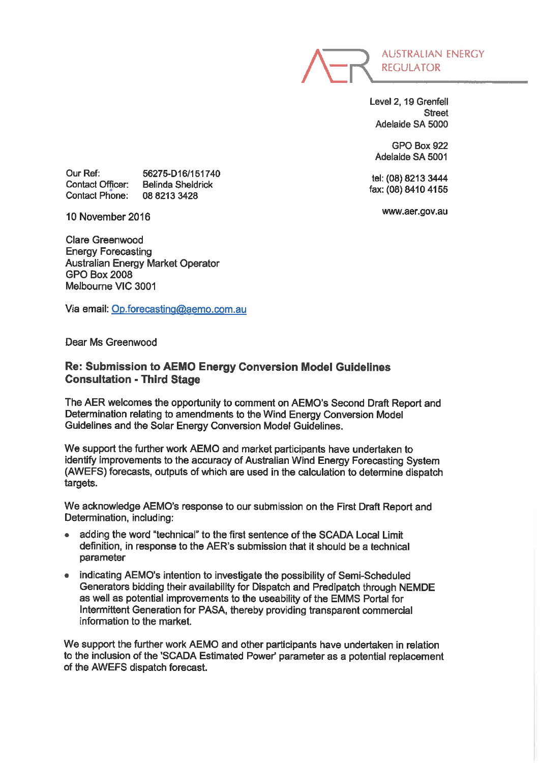

Level 2, 19 Grenfell **Street** Adelaide SA 5000

GPO Box 922 Adelaide SA 5001

tel: (08) 8213 3444 fax: (08) 8410 4155

www.aer.gov.au

Our Ref: Contact Officer: Contact Phone: 56275-D16/151740 Belinda Sheldrick 0882133428

10 November 2016

Clare Greenwood Energy Forecasting Australian Energy Market Operator GPO Box 2008 Melbourne VIC 3001

Via email: Op.forecasting@aemo.com.au

Dear Ms Greenwood

## Re: Submission to AEMO Energy Conversion Model Guidelines Consultation - Third Stage

The AER welcomes the opportunity to comment on AEMO's Second Draft Report and Determination relating to amendments to the Wind Energy Conversion Model Guidelines and the Solar Energy Conversion Model Guidelines.

We support the further work AEMO and market participants have undertaken to identify improvements to the accuracy of Australian Wind Energy Forecasting System (AWEFS) forecasts, outputs of which are used in the calculation to determine dispatch targets.

We acknowledge AEMO's response to our submission on the First Draft Report and Determination, including:

- adding the word "technical" to the first sentence of the SCADA Local Limit definition, in response to the AER's submission that it should be a technical parameter
- . indicating AEMO's intention to investigate the possibility of Semi-Scheduled Generators bidding their availability for Dispatch and Predipatch through NEMDE as well as potential improvements to the useability of the EMMS Portal for Intermittent Generation for PASA, thereby providing transparent commercial information to the market.

We support the further work AEMO and other participants have undertaken in relation to the inclusion of the 'SCADA Estimated Power' parameter as a potential replacement of the AWEFS dispatch forecast.